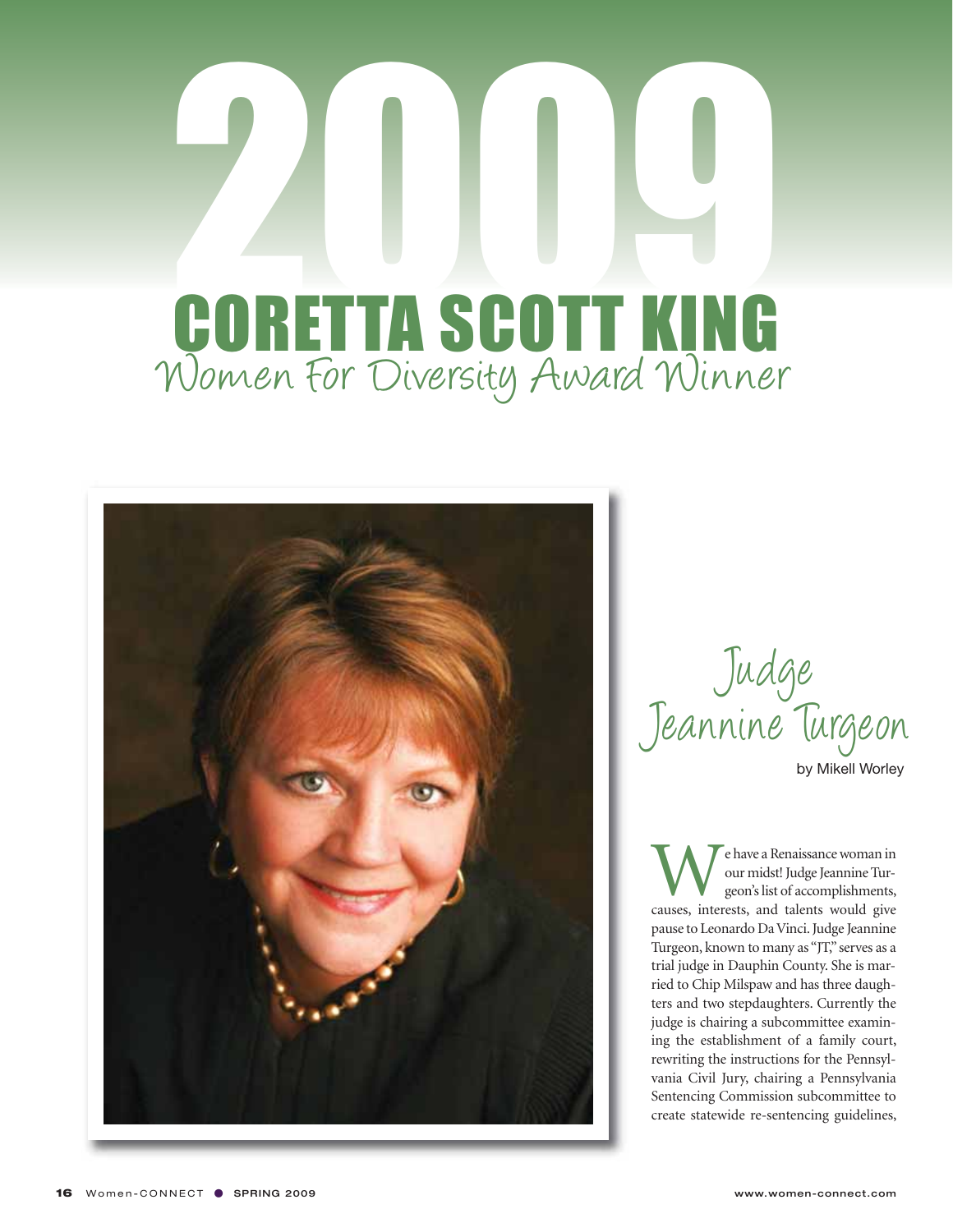## 2009 Women For Diversity Award Winner CORETTA SCOTT KING



Judge<br>Jeannine Turgeon by Mikell Worley

**W**e have a Renaissance woman in<br>
our midst! Judge Jeannine Tur-<br>
geon's list of accomplishments,<br>
causes, interests, and talents would give our midst! Judge Jeannine Turgeon's list of accomplishments, pause to Leonardo Da Vinci. Judge Jeannine Turgeon, known to many as "JT," serves as a trial judge in Dauphin County. She is married to Chip Milspaw and has three daughters and two stepdaughters. Currently the judge is chairing a subcommittee examining the establishment of a family court, rewriting the instructions for the Pennsylvania Civil Jury, chairing a Pennsylvania Sentencing Commission subcommittee to create statewide re-sentencing guidelines,